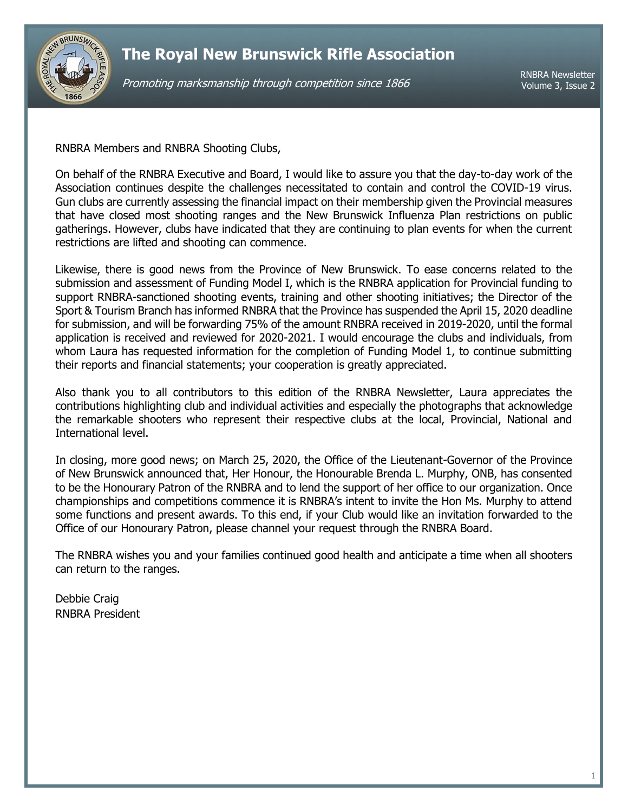

Promoting marksmanship through competition since 1866

RNBRA Newsletter Volume 3, Issue 2

RNBRA Members and RNBRA Shooting Clubs,

On behalf of the RNBRA Executive and Board, I would like to assure you that the day-to-day work of the Association continues despite the challenges necessitated to contain and control the COVID-19 virus. Gun clubs are currently assessing the financial impact on their membership given the Provincial measures that have closed most shooting ranges and the New Brunswick Influenza Plan restrictions on public gatherings. However, clubs have indicated that they are continuing to plan events for when the current restrictions are lifted and shooting can commence.

Likewise, there is good news from the Province of New Brunswick. To ease concerns related to the submission and assessment of Funding Model I, which is the RNBRA application for Provincial funding to support RNBRA-sanctioned shooting events, training and other shooting initiatives; the Director of the Sport & Tourism Branch has informed RNBRA that the Province has suspended the April 15, 2020 deadline for submission, and will be forwarding 75% of the amount RNBRA received in 2019-2020, until the formal application is received and reviewed for 2020-2021. I would encourage the clubs and individuals, from whom Laura has requested information for the completion of Funding Model 1, to continue submitting their reports and financial statements; your cooperation is greatly appreciated.

Also thank you to all contributors to this edition of the RNBRA Newsletter, Laura appreciates the contributions highlighting club and individual activities and especially the photographs that acknowledge the remarkable shooters who represent their respective clubs at the local, Provincial, National and International level.

In closing, more good news; on March 25, 2020, the Office of the Lieutenant-Governor of the Province of New Brunswick announced that, Her Honour, the Honourable Brenda L. Murphy, ONB, has consented to be the Honourary Patron of the RNBRA and to lend the support of her office to our organization. Once championships and competitions commence it is RNBRA's intent to invite the Hon Ms. Murphy to attend some functions and present awards. To this end, if your Club would like an invitation forwarded to the Office of our Honourary Patron, please channel your request through the RNBRA Board.

The RNBRA wishes you and your families continued good health and anticipate a time when all shooters can return to the ranges.

Debbie Craig RNBRA President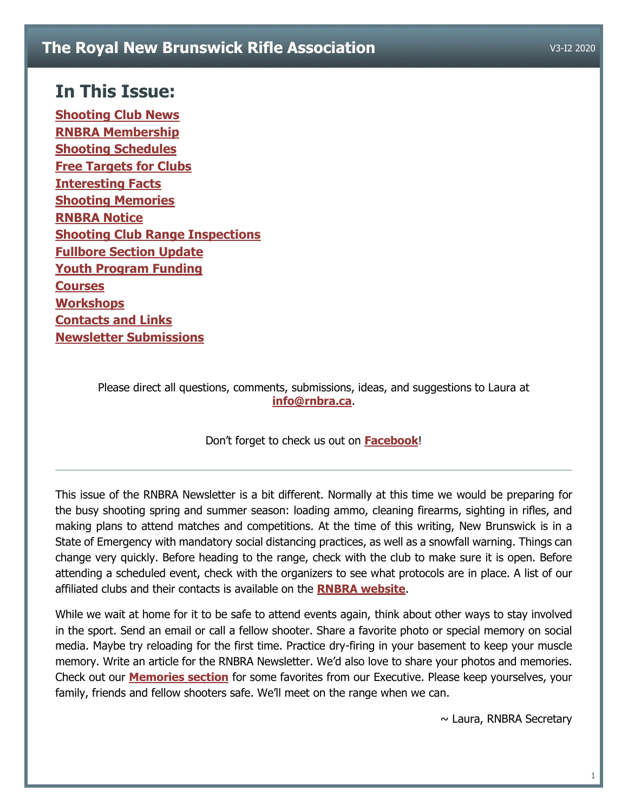## <span id="page-1-0"></span>**In This Issue:**

**[Shooting Club News](#page-2-0) [RNBRA Membership](#page-2-1) [Shooting Schedules](#page-3-0) [Free Targets for Clubs](#page-3-1) [Interesting Facts](#page-3-2) [Shooting Memories](#page-4-0) [RNBRA Notice](#page-5-0) [Shooting Club Range Inspections](#page-5-1) [Fullbore Section Update](#page-5-2) [Youth Program Funding](#page-5-3) [Courses](#page-6-0) [Workshops](#page-6-1) [Contacts and Links](#page-6-2) [Newsletter Submissions](#page-6-3)**

> Please direct all questions, comments, submissions, ideas, and suggestions to Laura at **[info@rnbra.ca](mailto:info@rnbra.ca?subject=RNBRA%20Newsletter)**.

#### Don't forget to check us out on **[Facebook](http://www.facebook.com/RNBRA)**!

This issue of the RNBRA Newsletter is a bit different. Normally at this time we would be preparing for the busy shooting spring and summer season: loading ammo, cleaning firearms, sighting in rifles, and making plans to attend matches and competitions. At the time of this writing, New Brunswick is in a State of Emergency with mandatory social distancing practices, as well as a snowfall warning. Things can change very quickly. Before heading to the range, check with the club to make sure it is open. Before attending a scheduled event, check with the organizers to see what protocols are in place. A list of our affiliated clubs and their contacts is available on the **[RNBRA website](https://rnbra.ca/nb-shooting-clubs/)**.

While we wait at home for it to be safe to attend events again, think about other ways to stay involved in the sport. Send an email or call a fellow shooter. Share a favorite photo or special memory on social media. Maybe try reloading for the first time. Practice dry-firing in your basement to keep your muscle memory. Write an article for the RNBRA Newsletter. We'd also love to share your photos and memories. Check out our **[Memories section](#page-3-3)** for some favorites from our Executive. Please keep yourselves, your family, friends and fellow shooters safe. We'll meet on the range when we can.

 $\sim$  Laura, RNBRA Secretary

1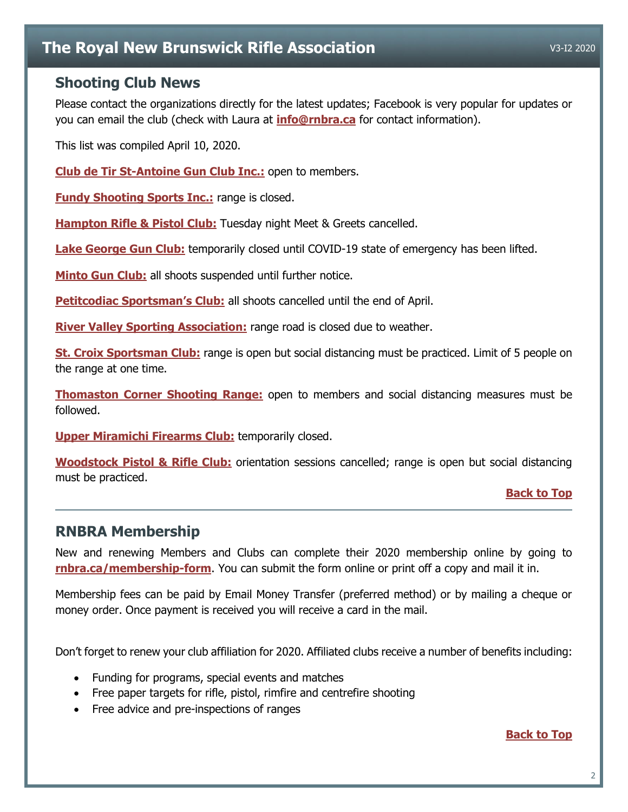### <span id="page-2-0"></span>**Shooting Club News**

Please contact the organizations directly for the latest updates; Facebook is very popular for updates or you can email the club (check with Laura at **[info@rnbra.ca](mailto:info@rnbra.ca)** for contact information).

This list was compiled April 10, 2020.

**[Club de Tir St-Antoine Gun Club Inc.:](https://www.facebook.com/Club-de-Tir-St-Antoine-Gun-Club-Inc-478733442174845/)** open to members.

**[Fundy Shooting Sports Inc.:](http://fundyshootingsports.org/)** range is closed.

**[Hampton Rifle & Pistol Club:](https://www.facebook.com/hrpcnb/)** Tuesday night Meet & Greets cancelled.

**[Lake George Gun Club:](https://lg-gc.ca/)** temporarily closed until COVID-19 state of emergency has been lifted.

**[Minto Gun Club:](http://newbrunswick-benchrest.blogspot.com/)** all shoots suspended until further notice.

**[Petitcodiac Sportsman's Club:](http://newbrunswick-benchrest.blogspot.com/)** all shoots cancelled until the end of April.

**[River Valley Sporting Association:](https://www.facebook.com/rvsa1984)** range road is closed due to weather.

**[St. Croix Sportsman Club:](https://www.facebook.com/groups/376934870099#_=_)** range is open but social distancing must be practiced. Limit of 5 people on the range at one time.

**[Thomaston Corner Shooting Range:](https://www.facebook.com/Thomaston-Corner-Shooting-Range-1501067700188234/)** open to members and social distancing measures must be followed.

**[Upper Miramichi Firearms Club:](https://www.facebook.com/umfci.ca)** temporarily closed.

**[Woodstock Pistol & Rifle Club:](https://www.facebook.com/WdstkPRC)** orientation sessions cancelled; range is open but social distancing must be practiced.

**[Back to Top](#page-1-0)**

### <span id="page-2-1"></span>**RNBRA Membership**

New and renewing Members and Clubs can complete their 2020 membership online by going to **[rnbra.ca/membership-form](http://rnbra.ca/membership-form/)**. You can submit the form online or print off a copy and mail it in.

Membership fees can be paid by Email Money Transfer (preferred method) or by mailing a cheque or money order. Once payment is received you will receive a card in the mail.

Don't forget to renew your club affiliation for 2020. Affiliated clubs receive a number of benefits including:

- Funding for programs, special events and matches
- Free paper targets for rifle, pistol, rimfire and centrefire shooting
- Free advice and pre-inspections of ranges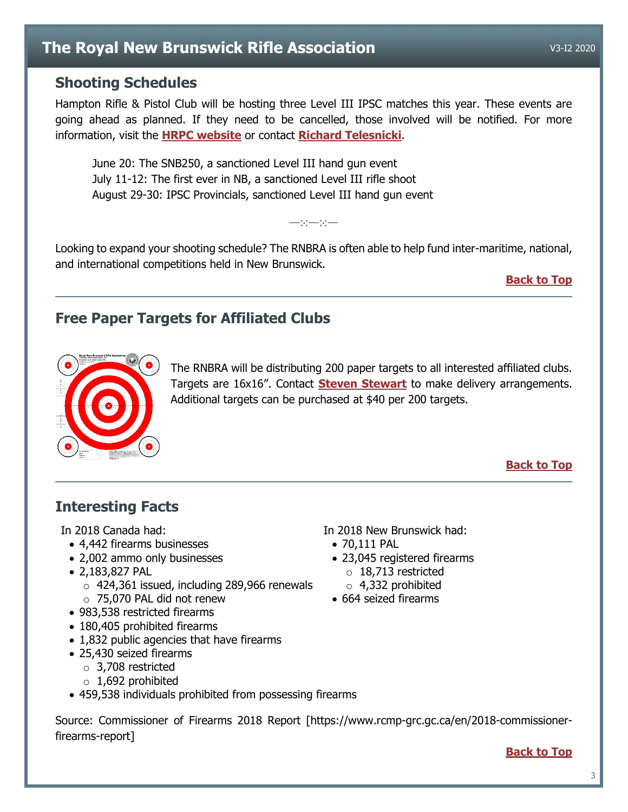## <span id="page-3-0"></span>**Shooting Schedules**

Hampton Rifle & Pistol Club will be hosting three Level III IPSC matches this year. These events are going ahead as planned. If they need to be cancelled, those involved will be notified. For more information, visit the **[HRPC website](https://hrpc.ca/)** or contact **[Richard Telesnicki](mailto:telesnicki@hotmail.com?subject=Level%20III%20IPSC%20Matches)**.

June 20: The SNB250, a sanctioned Level III hand gun event July 11-12: The first ever in NB, a sanctioned Level III rifle shoot August 29-30: IPSC Provincials, sanctioned Level III hand gun event

Looking to expand your shooting schedule? The RNBRA is often able to help fund inter-maritime, national, and international competitions held in New Brunswick.

 $\rightarrow$   $\times$   $\rightarrow$   $\times$   $\rightarrow$ 

#### **[Back to Top](#page-1-0)**

## <span id="page-3-1"></span>**Free Paper Targets for Affiliated Clubs**



The RNBRA will be distributing 200 paper targets to all interested affiliated clubs. Targets are 16x16". Contact **[Steven Stewart](mailto:smskew@rogers.com?subject=Paper%20Targets)** to make delivery arrangements. Additional targets can be purchased at \$40 per 200 targets.

#### **[Back to Top](#page-1-0)**

## <span id="page-3-2"></span>**Interesting Facts**

In 2018 Canada had:

- 4,442 firearms businesses
- 2,002 ammo only businesses
- 2,183,827 PAL
	- o 424,361 issued, including 289,966 renewals
	- $\circ$  75,070 PAL did not renew
- 983,538 restricted firearms
- 180,405 prohibited firearms
- 1,832 public agencies that have firearms
- 25,430 seized firearms
	- o 3,708 restricted
	- $\circ$  1,692 prohibited
- 459,538 individuals prohibited from possessing firearms

<span id="page-3-3"></span>Source: Commissioner of Firearms 2018 Report [https://www.rcmp-grc.gc.ca/en/2018-commissionerfirearms-report]

In 2018 New Brunswick had:

- 70,111 PAL
- 23,045 registered firearms o 18,713 restricted  $\circ$  4,332 prohibited
- 664 seized firearms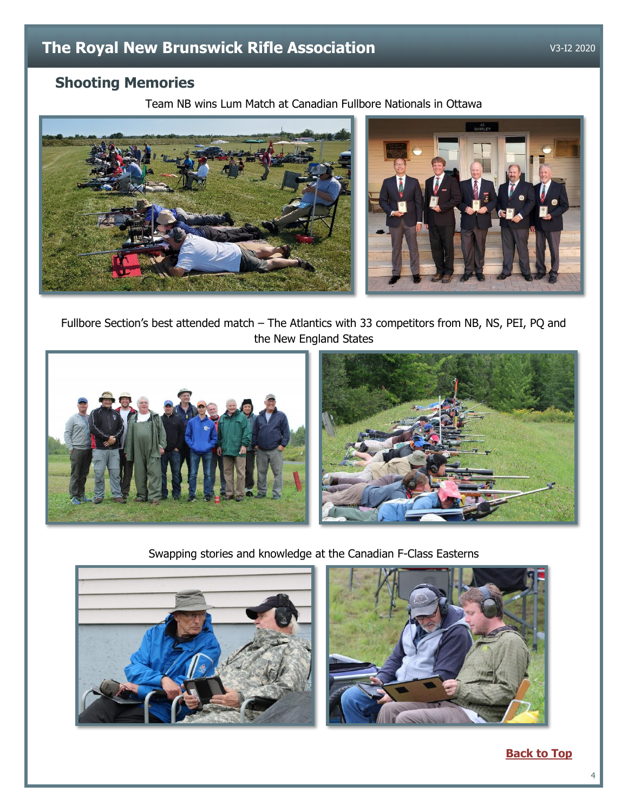# <span id="page-4-0"></span>**Shooting Memories**

Team NB wins Lum Match at Canadian Fullbore Nationals in Ottawa



Fullbore Section's best attended match – The Atlantics with 33 competitors from NB, NS, PEI, PQ and the New England States



Swapping stories and knowledge at the Canadian F-Class Easterns



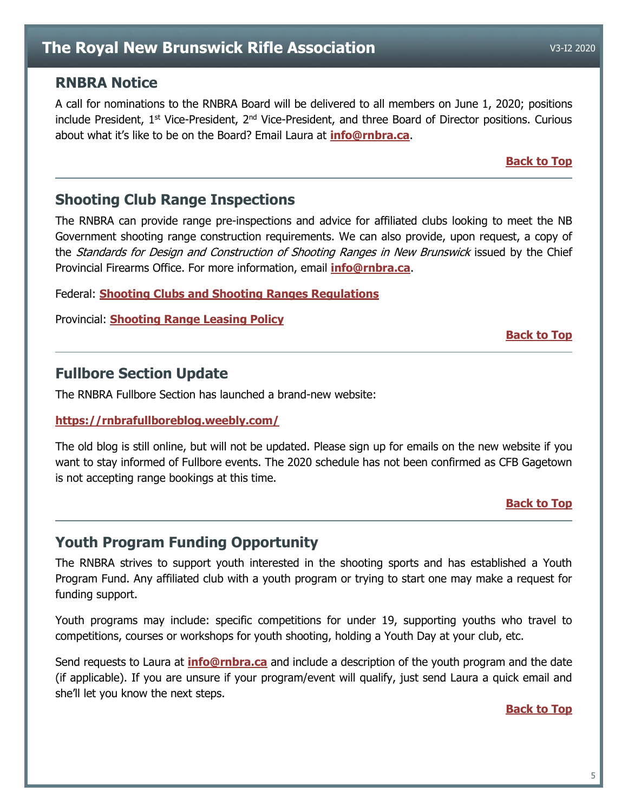### <span id="page-5-0"></span>**RNBRA Notice**

A call for nominations to the RNBRA Board will be delivered to all members on June 1, 2020; positions include President,  $1^{st}$  Vice-President,  $2^{nd}$  Vice-President, and three Board of Director positions. Curious about what it's like to be on the Board? Email Laura at **[info@rnbra.ca](mailto:info@rnbra.ca)**.

**[Back to Top](#page-1-0)**

### <span id="page-5-1"></span>**Shooting Club Range Inspections**

The RNBRA can provide range pre-inspections and advice for affiliated clubs looking to meet the NB Government shooting range construction requirements. We can also provide, upon request, a copy of the *Standards for Design and Construction of Shooting Ranges in New Brunswick* issued by the Chief Provincial Firearms Office. For more information, email **[info@rnbra.ca](mailto:info@rnbra.ca?subject=Range%20Inspections)**.

Federal: **[Shooting Clubs and Shooting Ranges Regulations](https://laws-lois.justice.gc.ca/PDF/SOR-98-212.pdf)**

Provincial: **[Shooting Range Leasing Policy](https://www2.gnb.ca/content/dam/gnb/Departments/nr-rn/pdf/en/ForestsCrownLands/2017-12-08_shooting_range_policy.pdf)**

**[Back to Top](#page-1-0)**

### <span id="page-5-2"></span>**Fullbore Section Update**

The RNBRA Fullbore Section has launched a brand-new website:

#### **<https://rnbrafullboreblog.weebly.com/>**

The old blog is still online, but will not be updated. Please sign up for emails on the new website if you want to stay informed of Fullbore events. The 2020 schedule has not been confirmed as CFB Gagetown is not accepting range bookings at this time.

**[Back to Top](#page-1-0)**

## <span id="page-5-3"></span>**Youth Program Funding Opportunity**

The RNBRA strives to support youth interested in the shooting sports and has established a Youth Program Fund. Any affiliated club with a youth program or trying to start one may make a request for funding support.

Youth programs may include: specific competitions for under 19, supporting youths who travel to competitions, courses or workshops for youth shooting, holding a Youth Day at your club, etc.

Send requests to Laura at **[info@rnbra.ca](mailto:info@rnbra.ca?subject=Youth%20Program%20Funding)** and include a description of the youth program and the date (if applicable). If you are unsure if your program/event will qualify, just send Laura a quick email and she'll let you know the next steps.